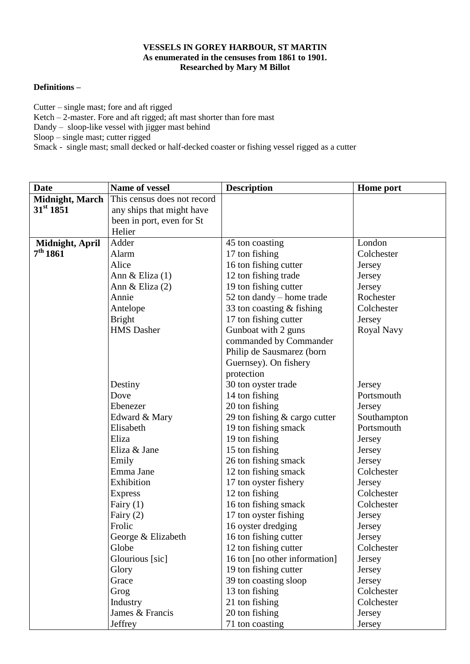## **VESSELS IN GOREY HARBOUR, ST MARTIN As enumerated in the censuses from 1861 to 1901. Researched by Mary M Billot**

## **Definitions –**

Cutter – single mast; fore and aft rigged Ketch  $-2$ -master. Fore and aft rigged; aft mast shorter than fore mast Dandy – sloop-like vessel with jigger mast behind Sloop – single mast; cutter rigged Smack - single mast; small decked or half-decked coaster or fishing vessel rigged as a cutter

| <b>Date</b>            | Name of vessel              | <b>Description</b>                          | <b>Home</b> port     |
|------------------------|-----------------------------|---------------------------------------------|----------------------|
| <b>Midnight, March</b> | This census does not record |                                             |                      |
| 31 <sup>st</sup> 1851  | any ships that might have   |                                             |                      |
|                        | been in port, even for St   |                                             |                      |
|                        | Helier                      |                                             |                      |
| Midnight, April        | Adder                       | 45 ton coasting                             | London               |
| 7 <sup>th</sup> 1861   | Alarm                       | 17 ton fishing                              | Colchester           |
|                        | Alice                       | 16 ton fishing cutter                       | Jersey               |
|                        | Ann & Eliza $(1)$           | 12 ton fishing trade                        | Jersey               |
|                        | Ann & Eliza (2)             | 19 ton fishing cutter                       | Jersey               |
|                        | Annie                       | 52 ton dandy – home trade                   | Rochester            |
|                        | Antelope                    | 33 ton coasting & fishing                   | Colchester           |
|                        | <b>Bright</b>               | 17 ton fishing cutter                       | Jersey               |
|                        | <b>HMS</b> Dasher           | Gunboat with 2 guns                         | Royal Navy           |
|                        |                             | commanded by Commander                      |                      |
|                        |                             | Philip de Sausmarez (born                   |                      |
|                        |                             | Guernsey). On fishery                       |                      |
|                        |                             | protection                                  |                      |
|                        | Destiny                     | 30 ton oyster trade                         | Jersey               |
|                        | Dove                        | 14 ton fishing                              | Portsmouth           |
|                        | Ebenezer                    | 20 ton fishing                              | Jersey               |
|                        | Edward & Mary               | 29 ton fishing $&$ cargo cutter             | Southampton          |
|                        | Elisabeth                   | 19 ton fishing smack                        | Portsmouth           |
|                        | Eliza                       | 19 ton fishing                              | Jersey               |
|                        | Eliza & Jane                | 15 ton fishing                              | Jersey               |
|                        | Emily                       | 26 ton fishing smack                        | Jersey               |
|                        | Emma Jane                   | 12 ton fishing smack                        | Colchester           |
|                        | Exhibition                  | 17 ton oyster fishery                       | Jersey               |
|                        | <b>Express</b>              | 12 ton fishing                              | Colchester           |
|                        | Fairy $(1)$                 | 16 ton fishing smack                        | Colchester           |
|                        | Fairy $(2)$<br>Frolic       | 17 ton oyster fishing<br>16 oyster dredging | Jersey               |
|                        | George & Elizabeth          | 16 ton fishing cutter                       | Jersey               |
|                        | Globe                       | 12 ton fishing cutter                       | Jersey<br>Colchester |
|                        | Glourious [sic]             | 16 ton [no other information]               | Jersey               |
|                        | Glory                       | 19 ton fishing cutter                       | Jersey               |
|                        | Grace                       | 39 ton coasting sloop                       | Jersey               |
|                        | Grog                        | 13 ton fishing                              | Colchester           |
|                        | Industry                    | 21 ton fishing                              | Colchester           |
|                        | James & Francis             | 20 ton fishing                              | Jersey               |
|                        | Jeffrey                     | 71 ton coasting                             | Jersey               |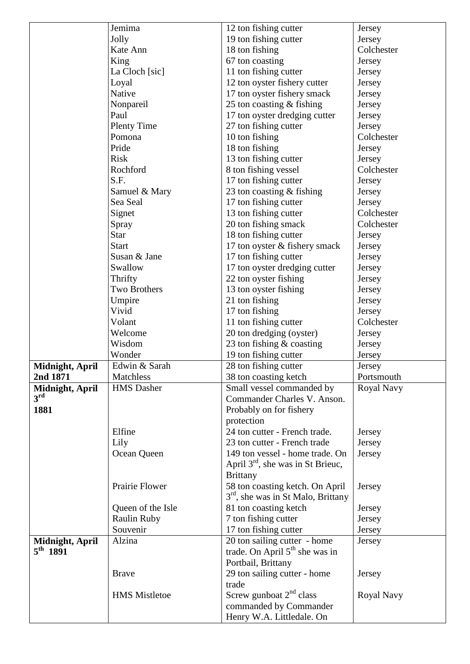|                                         | Jemima               | 12 ton fishing cutter                | Jersey     |
|-----------------------------------------|----------------------|--------------------------------------|------------|
|                                         | Jolly                | 19 ton fishing cutter                | Jersey     |
|                                         | Kate Ann             | 18 ton fishing                       | Colchester |
|                                         | King                 | 67 ton coasting                      | Jersey     |
|                                         | La Cloch [sic]       | 11 ton fishing cutter                | Jersey     |
|                                         | Loyal                | 12 ton oyster fishery cutter         | Jersey     |
|                                         | Native               | 17 ton oyster fishery smack          | Jersey     |
|                                         | Nonpareil            | 25 ton coasting $&$ fishing          | Jersey     |
|                                         | Paul                 | 17 ton oyster dredging cutter        | Jersey     |
|                                         | <b>Plenty Time</b>   | 27 ton fishing cutter                | Jersey     |
|                                         | Pomona               | 10 ton fishing                       | Colchester |
|                                         | Pride                | 18 ton fishing                       | Jersey     |
|                                         | <b>Risk</b>          | 13 ton fishing cutter                | Jersey     |
|                                         | Rochford             | 8 ton fishing vessel                 | Colchester |
|                                         | S.F.                 | 17 ton fishing cutter                | Jersey     |
|                                         | Samuel & Mary        | 23 ton coasting $&$ fishing          | Jersey     |
|                                         | Sea Seal             | 17 ton fishing cutter                | Jersey     |
|                                         | Signet               | 13 ton fishing cutter                | Colchester |
|                                         | Spray                | 20 ton fishing smack                 | Colchester |
|                                         | <b>Star</b>          | 18 ton fishing cutter                | Jersey     |
|                                         | <b>Start</b>         | 17 ton oyster & fishery smack        | Jersey     |
|                                         | Susan & Jane         | 17 ton fishing cutter                | Jersey     |
|                                         | Swallow              | 17 ton oyster dredging cutter        | Jersey     |
|                                         | Thrifty              | 22 ton oyster fishing                | Jersey     |
|                                         | Two Brothers         | 13 ton oyster fishing                | Jersey     |
|                                         | Umpire               | 21 ton fishing                       | Jersey     |
|                                         | Vivid                | 17 ton fishing                       | Jersey     |
|                                         | Volant               | 11 ton fishing cutter                | Colchester |
|                                         | Welcome              | 20 ton dredging (oyster)             | Jersey     |
|                                         | Wisdom               | 23 ton fishing & coasting            | Jersey     |
|                                         | Wonder               | 19 ton fishing cutter                | Jersey     |
| Midnight, April                         | Edwin & Sarah        | 28 ton fishing cutter                | Jersey     |
| 2nd 1871                                | Matchless            | 38 ton coasting ketch                | Portsmouth |
| Midnight, April                         | <b>HMS</b> Dasher    | Small vessel commanded by            | Royal Navy |
| $3^{\rm rd}$                            |                      | Commander Charles V. Anson.          |            |
| 1881                                    |                      | Probably on for fishery              |            |
|                                         |                      | protection                           |            |
|                                         | Elfine               | 24 ton cutter - French trade.        | Jersey     |
|                                         | Lily                 | 23 ton cutter - French trade         | Jersey     |
|                                         | Ocean Queen          | 149 ton vessel - home trade. On      | Jersey     |
|                                         |                      | April $3rd$ , she was in St Brieuc,  |            |
|                                         |                      | <b>Brittany</b>                      |            |
|                                         | Prairie Flower       | 58 ton coasting ketch. On April      | Jersey     |
|                                         |                      | $3rd$ , she was in St Malo, Brittany |            |
|                                         | Queen of the Isle    | 81 ton coasting ketch                | Jersey     |
|                                         | <b>Raulin Ruby</b>   | 7 ton fishing cutter                 | Jersey     |
|                                         | Souvenir             | 17 ton fishing cutter                | Jersey     |
|                                         | Alzina               | 20 ton sailing cutter - home         | Jersey     |
| Midnight, April<br>$5^{\text{th}}$ 1891 |                      | trade. On April $5th$ she was in     |            |
|                                         |                      | Portbail, Brittany                   |            |
|                                         | <b>Brave</b>         | 29 ton sailing cutter - home         | Jersey     |
|                                         |                      | trade                                |            |
|                                         | <b>HMS</b> Mistletoe | Screw gunboat $2nd$ class            | Royal Navy |
|                                         |                      |                                      |            |
|                                         |                      | commanded by Commander               |            |
|                                         |                      | Henry W.A. Littledale. On            |            |